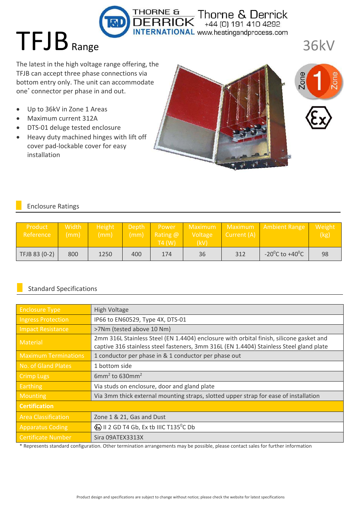The latest in the high voltage range offering, the TFJB can accept three phase connections via bottom entry only. The unit can accommodate one<sup>\*</sup> connector per phase in and out.

- $\bullet$ Up to 36kV in Zone 1 Areas
- Maximum current 312A  $\bullet$

TFJB Range

- · DTS-01 deluge tested enclosure
- Heavy duty machined hinges with lift off cover pad-lockable cover for easy installation



 $\overline{\mathsf{K}}$  Thorne & Derrick

**INTERNATIONAL** www.heatingandprocess.com



**36kV** 

## **Enclosure Ratings**

| Product<br>Reference | Width<br>$\mathsf{(mm)}\setminus$ | Height<br>(mm) |     | Depth Power<br>$(mm)$ Rating $@$<br>:T4 (W) | Voltage<br>(kV) | Current (A) | Maximum Maximum Ambient Range | Weight<br>(kg) |
|----------------------|-----------------------------------|----------------|-----|---------------------------------------------|-----------------|-------------|-------------------------------|----------------|
| TFJB 83 (0-2)        | 800                               | 1250           | 400 | 174                                         | 36              | 312         | $-20^0$ C to $+40^0$ C        | 98             |

THORNE &

## **Standard Specifications**

| <b>Enclosure Type</b>       | <b>High Voltage</b>                                                                                                                                                                |  |  |  |
|-----------------------------|------------------------------------------------------------------------------------------------------------------------------------------------------------------------------------|--|--|--|
| <b>Ingress Protection</b>   | IP66 to EN60529, Type 4X, DTS-01                                                                                                                                                   |  |  |  |
| <b>Impact Resistance</b>    | >7Nm (tested above 10 Nm)                                                                                                                                                          |  |  |  |
| <b>Material</b>             | 2mm 316L Stainless Steel (EN 1.4404) enclosure with orbital finish, silicone gasket and<br>captive 316 stainless steel fasteners, 3mm 316L (EN 1.4404) Stainless Steel gland plate |  |  |  |
| <b>Maximum Terminations</b> | 1 conductor per phase in & 1 conductor per phase out                                                                                                                               |  |  |  |
| No. of Gland Plates         | 1 bottom side                                                                                                                                                                      |  |  |  |
| <b>Crimp Lugs</b>           | $6mm2$ to 630mm <sup>2</sup>                                                                                                                                                       |  |  |  |
| Earthing                    | Via studs on enclosure, door and gland plate                                                                                                                                       |  |  |  |
| <b>Mounting</b>             | Via 3mm thick external mounting straps, slotted upper strap for ease of installation                                                                                               |  |  |  |
| <b>Certification</b>        |                                                                                                                                                                                    |  |  |  |
| <b>Area Classification</b>  | Zone 1 & 21, Gas and Dust                                                                                                                                                          |  |  |  |
| <b>Apparatus Coding</b>     | (Ex) II 2 GD T4 Gb, Ex tb IIIC T135 <sup>°</sup> C Db                                                                                                                              |  |  |  |
| <b>Certificate Number</b>   | Sira 09ATEX3313X                                                                                                                                                                   |  |  |  |

\* Represents standard configuration. Other termination arrangements may be possible, please contact sales for further information